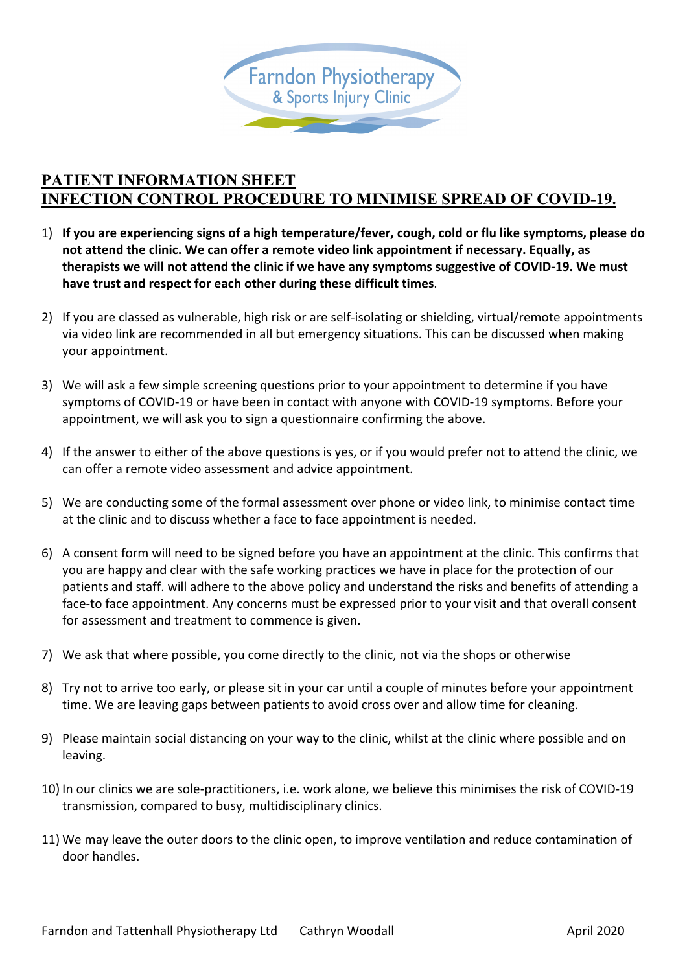

## **PATIENT INFORMATION SHEET INFECTION CONTROL PROCEDURE TO MINIMISE SPREAD OF COVID-19.**

- 1) **If you are experiencing signs of a high temperature/fever, cough, cold or flu like symptoms, please do not attend the clinic. We can offer a remote video link appointment if necessary. Equally, as therapists we will not attend the clinic if we have any symptoms suggestive of COVID-19. We must have trust and respect for each other during these difficult times**.
- 2) If you are classed as vulnerable, high risk or are self-isolating or shielding, virtual/remote appointments via video link are recommended in all but emergency situations. This can be discussed when making your appointment.
- 3) We will ask a few simple screening questions prior to your appointment to determine if you have symptoms of COVID-19 or have been in contact with anyone with COVID-19 symptoms. Before your appointment, we will ask you to sign a questionnaire confirming the above.
- 4) If the answer to either of the above questions is yes, or if you would prefer not to attend the clinic, we can offer a remote video assessment and advice appointment.
- 5) We are conducting some of the formal assessment over phone or video link, to minimise contact time at the clinic and to discuss whether a face to face appointment is needed.
- 6) A consent form will need to be signed before you have an appointment at the clinic. This confirms that you are happy and clear with the safe working practices we have in place for the protection of our patients and staff. will adhere to the above policy and understand the risks and benefits of attending a face-to face appointment. Any concerns must be expressed prior to your visit and that overall consent for assessment and treatment to commence is given.
- 7) We ask that where possible, you come directly to the clinic, not via the shops or otherwise
- 8) Try not to arrive too early, or please sit in your car until a couple of minutes before your appointment time. We are leaving gaps between patients to avoid cross over and allow time for cleaning.
- 9) Please maintain social distancing on your way to the clinic, whilst at the clinic where possible and on leaving.
- 10) In our clinics we are sole-practitioners, i.e. work alone, we believe this minimises the risk of COVID-19 transmission, compared to busy, multidisciplinary clinics.
- 11) We may leave the outer doors to the clinic open, to improve ventilation and reduce contamination of door handles.